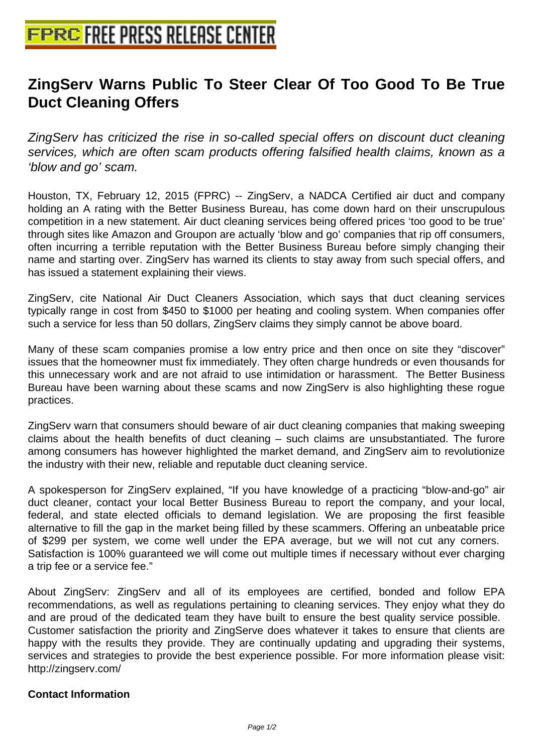## **[ZingServ Warns Public To Steer C](http://www.free-press-release-center.info)lear Of Too Good To Be True Duct Cleaning Offers**

ZingServ has criticized the rise in so-called special offers on discount duct cleaning services, which are often scam products offering falsified health claims, known as a 'blow and go' scam.

Houston, TX, February 12, 2015 (FPRC) -- ZingServ, a NADCA Certified air duct and company holding an A rating with the Better Business Bureau, has come down hard on their unscrupulous competition in a new statement. Air duct cleaning services being offered prices 'too good to be true' through sites like Amazon and Groupon are actually 'blow and go' companies that rip off consumers, often incurring a terrible reputation with the Better Business Bureau before simply changing their name and starting over. ZingServ has warned its clients to stay away from such special offers, and has issued a statement explaining their views.

ZingServ, cite National Air Duct Cleaners Association, which says that duct cleaning services typically range in cost from \$450 to \$1000 per heating and cooling system. When companies offer such a service for less than 50 dollars, ZingServ claims they simply cannot be above board.

Many of these scam companies promise a low entry price and then once on site they "discover" issues that the homeowner must fix immediately. They often charge hundreds or even thousands for this unnecessary work and are not afraid to use intimidation or harassment. The Better Business Bureau have been warning about these scams and now ZingServ is also highlighting these rogue practices.

ZingServ warn that consumers should beware of air duct cleaning companies that making sweeping claims about the health benefits of duct cleaning – such claims are unsubstantiated. The furore among consumers has however highlighted the market demand, and ZingServ aim to revolutionize the industry with their new, reliable and reputable duct cleaning service.

A spokesperson for ZingServ explained, "If you have knowledge of a practicing "blow-and-go" air duct cleaner, contact your local Better Business Bureau to report the company, and your local, federal, and state elected officials to demand legislation. We are proposing the first feasible alternative to fill the gap in the market being filled by these scammers. Offering an unbeatable price of \$299 per system, we come well under the EPA average, but we will not cut any corners. Satisfaction is 100% guaranteed we will come out multiple times if necessary without ever charging a trip fee or a service fee."

About ZingServ: ZingServ and all of its employees are certified, bonded and follow EPA recommendations, as well as regulations pertaining to cleaning services. They enjoy what they do and are proud of the dedicated team they have built to ensure the best quality service possible. Customer satisfaction the priority and ZingServe does whatever it takes to ensure that clients are happy with the results they provide. They are continually updating and upgrading their systems, services and strategies to provide the best experience possible. For more information please visit: http://zingserv.com/

## **Contact Information**